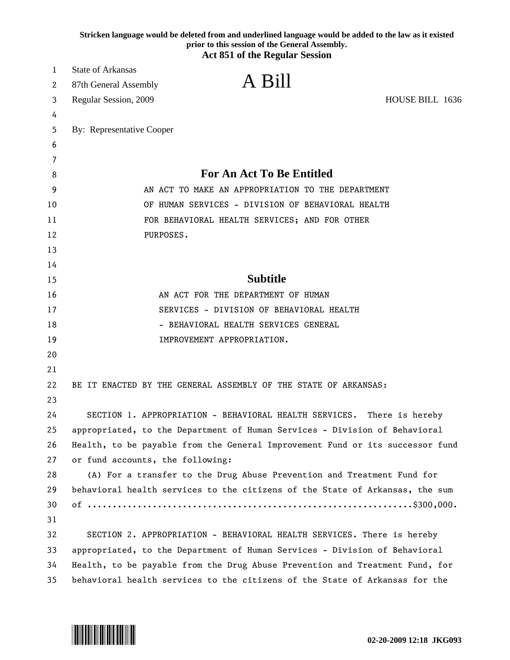|    | Stricken language would be deleted from and underlined language would be added to the law as it existed<br>prior to this session of the General Assembly.<br><b>Act 851 of the Regular Session</b> |
|----|----------------------------------------------------------------------------------------------------------------------------------------------------------------------------------------------------|
| 1  | <b>State of Arkansas</b>                                                                                                                                                                           |
| 2  | A Bill<br>87th General Assembly                                                                                                                                                                    |
| 3  | Regular Session, 2009<br>HOUSE BILL 1636                                                                                                                                                           |
| 4  |                                                                                                                                                                                                    |
| 5  | By: Representative Cooper                                                                                                                                                                          |
| 6  |                                                                                                                                                                                                    |
| 7  |                                                                                                                                                                                                    |
| 8  | <b>For An Act To Be Entitled</b>                                                                                                                                                                   |
| 9  | AN ACT TO MAKE AN APPROPRIATION TO THE DEPARTMENT                                                                                                                                                  |
| 10 | OF HUMAN SERVICES - DIVISION OF BEHAVIORAL HEALTH                                                                                                                                                  |
| 11 | FOR BEHAVIORAL HEALTH SERVICES; AND FOR OTHER                                                                                                                                                      |
| 12 | PURPOSES.                                                                                                                                                                                          |
| 13 |                                                                                                                                                                                                    |
| 14 |                                                                                                                                                                                                    |
| 15 | <b>Subtitle</b>                                                                                                                                                                                    |
| 16 | AN ACT FOR THE DEPARTMENT OF HUMAN                                                                                                                                                                 |
| 17 | SERVICES - DIVISION OF BEHAVIORAL HEALTH                                                                                                                                                           |
| 18 | - BEHAVIORAL HEALTH SERVICES GENERAL                                                                                                                                                               |
| 19 | IMPROVEMENT APPROPRIATION.                                                                                                                                                                         |
| 20 |                                                                                                                                                                                                    |
| 21 |                                                                                                                                                                                                    |
| 22 | BE IT ENACTED BY THE GENERAL ASSEMBLY OF THE STATE OF ARKANSAS:                                                                                                                                    |
| 23 |                                                                                                                                                                                                    |
| 24 | SECTION 1. APPROPRIATION - BEHAVIORAL HEALTH SERVICES. There is hereby                                                                                                                             |
| 25 | appropriated, to the Department of Human Services - Division of Behavioral                                                                                                                         |
| 26 | Health, to be payable from the General Improvement Fund or its successor fund                                                                                                                      |
| 27 | or fund accounts, the following:                                                                                                                                                                   |
| 28 | (A) For a transfer to the Drug Abuse Prevention and Treatment Fund for                                                                                                                             |
| 29 | behavioral health services to the citizens of the State of Arkansas, the sum                                                                                                                       |
| 30 |                                                                                                                                                                                                    |
| 31 |                                                                                                                                                                                                    |
| 32 | SECTION 2. APPROPRIATION - BEHAVIORAL HEALTH SERVICES. There is hereby                                                                                                                             |
| 33 | appropriated, to the Department of Human Services - Division of Behavioral                                                                                                                         |
| 34 | Health, to be payable from the Drug Abuse Prevention and Treatment Fund, for                                                                                                                       |
| 35 | behavioral health services to the citizens of the State of Arkansas for the                                                                                                                        |

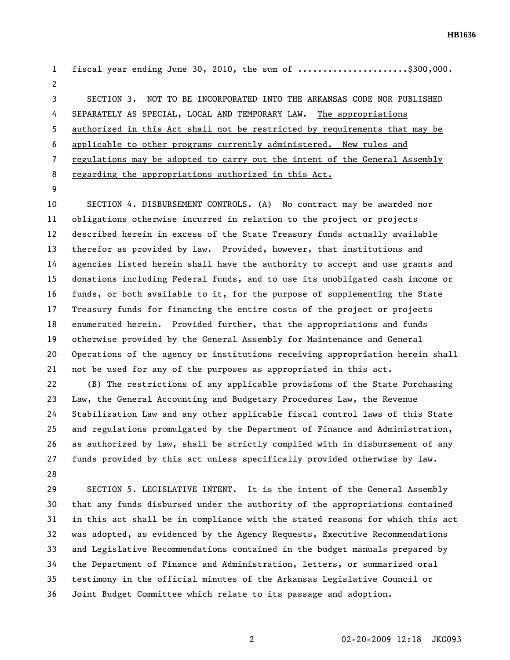**HB1636** 

1 fiscal year ending June 30, 2010, the sum of .....................\$300,000. 2 3 SECTION 3. NOT TO BE INCORPORATED INTO THE ARKANSAS CODE NOR PUBLISHED 4 SEPARATELY AS SPECIAL, LOCAL AND TEMPORARY LAW. The appropriations 5 authorized in this Act shall not be restricted by requirements that may be 6 applicable to other programs currently administered. New rules and 7 regulations may be adopted to carry out the intent of the General Assembly 8 regarding the appropriations authorized in this Act.

9

10 SECTION 4. DISBURSEMENT CONTROLS. (A) No contract may be awarded nor 11 obligations otherwise incurred in relation to the project or projects 12 described herein in excess of the State Treasury funds actually available 13 therefor as provided by law. Provided, however, that institutions and 14 agencies listed herein shall have the authority to accept and use grants and 15 donations including Federal funds, and to use its unobligated cash income or 16 funds, or both available to it, for the purpose of supplementing the State 17 Treasury funds for financing the entire costs of the project or projects 18 enumerated herein. Provided further, that the appropriations and funds 19 otherwise provided by the General Assembly for Maintenance and General 20 Operations of the agency or institutions receiving appropriation herein shall 21 not be used for any of the purposes as appropriated in this act. 22 (B) The restrictions of any applicable provisions of the State Purchasing 23 Law, the General Accounting and Budgetary Procedures Law, the Revenue 24 Stabilization Law and any other applicable fiscal control laws of this State 25 and regulations promulgated by the Department of Finance and Administration,

26 as authorized by law, shall be strictly complied with in disbursement of any 27 funds provided by this act unless specifically provided otherwise by law. 28

29 SECTION 5. LEGISLATIVE INTENT. It is the intent of the General Assembly 30 that any funds disbursed under the authority of the appropriations contained 31 in this act shall be in compliance with the stated reasons for which this act 32 was adopted, as evidenced by the Agency Requests, Executive Recommendations 33 and Legislative Recommendations contained in the budget manuals prepared by 34 the Department of Finance and Administration, letters, or summarized oral 35 testimony in the official minutes of the Arkansas Legislative Council or 36 Joint Budget Committee which relate to its passage and adoption.